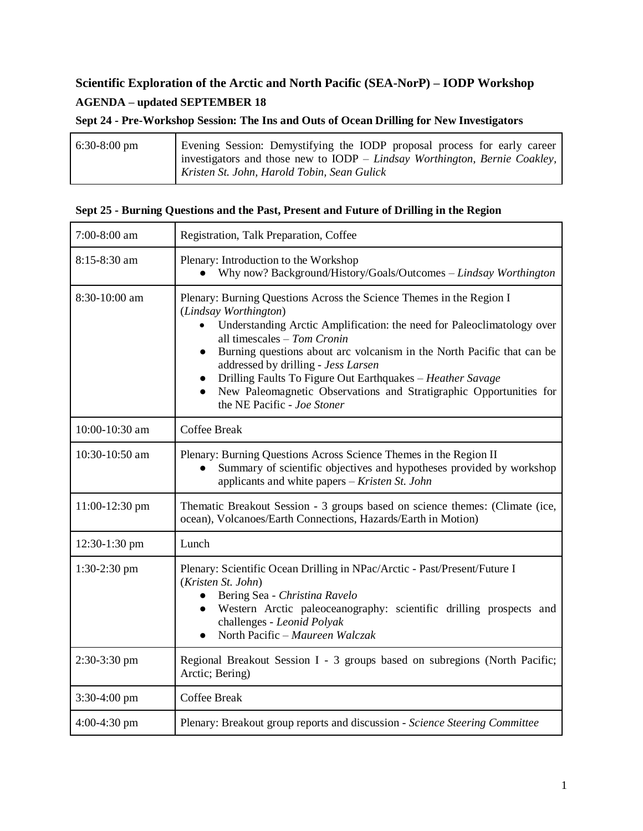## **Scientific Exploration of the Arctic and North Pacific (SEA-NorP) – IODP Workshop AGENDA – updated SEPTEMBER 18**

|  |  |  | Sept 24 - Pre-Workshop Session: The Ins and Outs of Ocean Drilling for New Investigators |
|--|--|--|------------------------------------------------------------------------------------------|
|  |  |  |                                                                                          |
|  |  |  |                                                                                          |

| Evening Session: Demystifying the IODP proposal process for early career   |
|----------------------------------------------------------------------------|
| investigators and those new to IODP – Lindsay Worthington, Bernie Coakley, |
| Kristen St. John, Harold Tobin, Sean Gulick                                |
|                                                                            |

|  |  |  |  |  | Sept 25 - Burning Questions and the Past, Present and Future of Drilling in the Region |  |  |  |
|--|--|--|--|--|----------------------------------------------------------------------------------------|--|--|--|
|--|--|--|--|--|----------------------------------------------------------------------------------------|--|--|--|

| 7:00-8:00 am   | Registration, Talk Preparation, Coffee                                                                                                                                                                                                                                                                                                                                                                                                                                                                                            |
|----------------|-----------------------------------------------------------------------------------------------------------------------------------------------------------------------------------------------------------------------------------------------------------------------------------------------------------------------------------------------------------------------------------------------------------------------------------------------------------------------------------------------------------------------------------|
| 8:15-8:30 am   | Plenary: Introduction to the Workshop<br>Why now? Background/History/Goals/Outcomes - Lindsay Worthington                                                                                                                                                                                                                                                                                                                                                                                                                         |
| 8:30-10:00 am  | Plenary: Burning Questions Across the Science Themes in the Region I<br>(Lindsay Worthington)<br>Understanding Arctic Amplification: the need for Paleoclimatology over<br>all timescales - Tom Cronin<br>Burning questions about arc volcanism in the North Pacific that can be<br>$\bullet$<br>addressed by drilling - Jess Larsen<br>Drilling Faults To Figure Out Earthquakes - Heather Savage<br>$\bullet$<br>New Paleomagnetic Observations and Stratigraphic Opportunities for<br>$\bullet$<br>the NE Pacific - Joe Stoner |
| 10:00-10:30 am | <b>Coffee Break</b>                                                                                                                                                                                                                                                                                                                                                                                                                                                                                                               |
| 10:30-10:50 am | Plenary: Burning Questions Across Science Themes in the Region II<br>Summary of scientific objectives and hypotheses provided by workshop<br>$\bullet$<br>applicants and white papers – Kristen St. John                                                                                                                                                                                                                                                                                                                          |
| 11:00-12:30 pm | Thematic Breakout Session - 3 groups based on science themes: (Climate (ice,<br>ocean), Volcanoes/Earth Connections, Hazards/Earth in Motion)                                                                                                                                                                                                                                                                                                                                                                                     |
| 12:30-1:30 pm  | Lunch                                                                                                                                                                                                                                                                                                                                                                                                                                                                                                                             |
| $1:30-2:30$ pm | Plenary: Scientific Ocean Drilling in NPac/Arctic - Past/Present/Future I<br>(Kristen St. John)<br>Bering Sea - Christina Ravelo<br>$\bullet$<br>Western Arctic paleoceanography: scientific drilling prospects and<br>$\bullet$<br>challenges - Leonid Polyak<br>North Pacific – Maureen Walczak<br>$\bullet$                                                                                                                                                                                                                    |
| 2:30-3:30 pm   | Regional Breakout Session I - 3 groups based on subregions (North Pacific;<br>Arctic; Bering)                                                                                                                                                                                                                                                                                                                                                                                                                                     |
| $3:30-4:00$ pm | <b>Coffee Break</b>                                                                                                                                                                                                                                                                                                                                                                                                                                                                                                               |
| $4:00-4:30$ pm | Plenary: Breakout group reports and discussion - Science Steering Committee                                                                                                                                                                                                                                                                                                                                                                                                                                                       |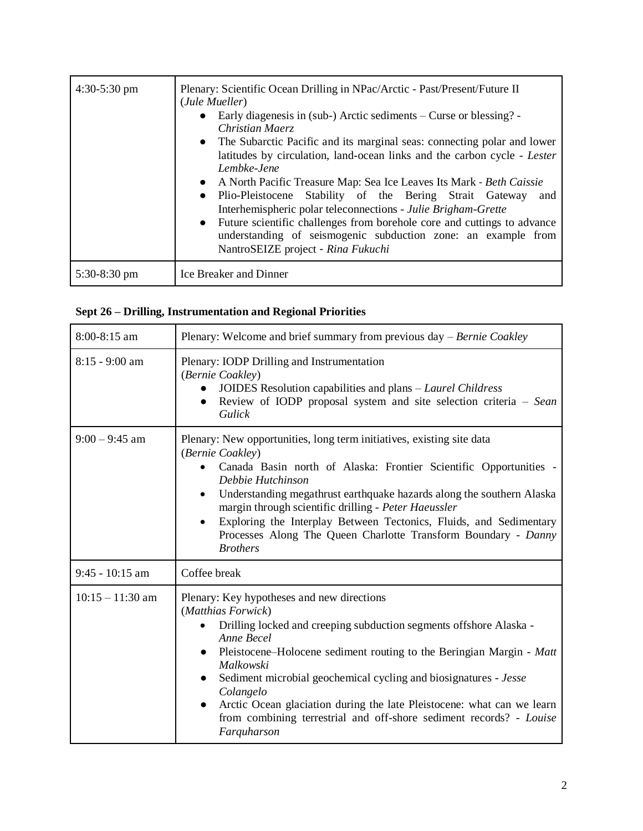| $4:30-5:30$ pm | Plenary: Scientific Ocean Drilling in NPac/Arctic - Past/Present/Future II<br>(Jule Mueller)<br>Early diagenesis in (sub-) Arctic sediments – Curse or blessing? -<br>$\bullet$<br>Christian Maerz<br>• The Subarctic Pacific and its marginal seas: connecting polar and lower<br>latitudes by circulation, land-ocean links and the carbon cycle - Lester<br>Lembke-Jene<br>• A North Pacific Treasure Map: Sea Ice Leaves Its Mark - Beth Caissie<br>Plio-Pleistocene Stability of the Bering Strait Gateway<br>and<br>$\bullet$<br>Interhemispheric polar teleconnections - Julie Brigham-Grette<br>• Future scientific challenges from borehole core and cuttings to advance<br>understanding of seismogenic subduction zone: an example from<br>NantroSEIZE project - Rina Fukuchi |
|----------------|------------------------------------------------------------------------------------------------------------------------------------------------------------------------------------------------------------------------------------------------------------------------------------------------------------------------------------------------------------------------------------------------------------------------------------------------------------------------------------------------------------------------------------------------------------------------------------------------------------------------------------------------------------------------------------------------------------------------------------------------------------------------------------------|
| $5:30-8:30$ pm | Ice Breaker and Dinner                                                                                                                                                                                                                                                                                                                                                                                                                                                                                                                                                                                                                                                                                                                                                                   |

## **Sept 26 – Drilling, Instrumentation and Regional Priorities**

| 8:00-8:15 am       | Plenary: Welcome and brief summary from previous day – Bernie Coakley                                                                                                                                                                                                                                                                                                                                                                                                                                   |
|--------------------|---------------------------------------------------------------------------------------------------------------------------------------------------------------------------------------------------------------------------------------------------------------------------------------------------------------------------------------------------------------------------------------------------------------------------------------------------------------------------------------------------------|
| $8:15 - 9:00$ am   | Plenary: IODP Drilling and Instrumentation<br>(Bernie Coakley)<br>JOIDES Resolution capabilities and plans – Laurel Childress<br>Review of IODP proposal system and site selection criteria - Sean<br>$\bullet$<br>Gulick                                                                                                                                                                                                                                                                               |
| $9:00 - 9:45$ am   | Plenary: New opportunities, long term initiatives, existing site data<br>(Bernie Coakley)<br>Canada Basin north of Alaska: Frontier Scientific Opportunities -<br>Debbie Hutchinson<br>Understanding megathrust earthquake hazards along the southern Alaska<br>$\bullet$<br>margin through scientific drilling - Peter Haeussler<br>Exploring the Interplay Between Tectonics, Fluids, and Sedimentary<br>Processes Along The Queen Charlotte Transform Boundary - Danny<br><b>Brothers</b>            |
| $9:45 - 10:15$ am  | Coffee break                                                                                                                                                                                                                                                                                                                                                                                                                                                                                            |
| $10:15 - 11:30$ am | Plenary: Key hypotheses and new directions<br>(Matthias Forwick)<br>Drilling locked and creeping subduction segments offshore Alaska -<br>Anne Becel<br>Pleistocene–Holocene sediment routing to the Beringian Margin - Matt<br>$\bullet$<br>Malkowski<br>Sediment microbial geochemical cycling and biosignatures - Jesse<br>Colangelo<br>Arctic Ocean glaciation during the late Pleistocene: what can we learn<br>from combining terrestrial and off-shore sediment records? - Louise<br>Farquharson |